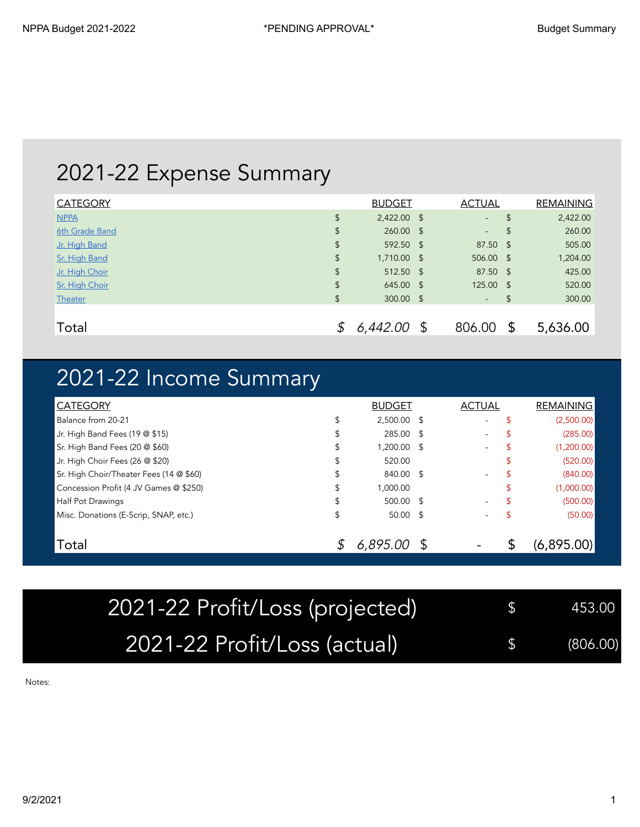## 2021-22 Expense Summary

| <b>CATEGORY</b> | <b>BUDGET</b>     | <b>ACTUAL</b>            |               | <b>REMAINING</b> |
|-----------------|-------------------|--------------------------|---------------|------------------|
| <b>NPPA</b>     | \$<br>2,422.00 \$ | $\overline{\phantom{a}}$ | $\mathsf{\$}$ | 2,422.00         |
| 6th Grade Band  | \$<br>260.00 \$   | ۰                        | \$            | 260.00           |
| Jr. High Band   | \$<br>592.50 \$   | 87.50 \$                 |               | 505.00           |
| Sr. High Band   | \$<br>1,710.00 \$ | 506.00 \$                |               | 1,204.00         |
| Jr. High Choir  | \$<br>512.50 \$   | 87.50 \$                 |               | 425.00           |
| Sr. High Choir  | \$<br>645.00 \$   | 125.00 \$                |               | 520.00           |
| <b>Theater</b>  | \$<br>300.00 \$   | $\sim$                   | \$            | 300.00           |
|                 |                   |                          |               |                  |
| Total           | $6,442.00$ \$     | 806.00                   | \$            | 5,636.00         |

## 2021-22 Income Summary

| <b>CATEGORY</b>                         |    | <b>BUDGET</b> | <b>ACTUAL</b> |    | <b>REMAINING</b> |
|-----------------------------------------|----|---------------|---------------|----|------------------|
| Balance from 20-21                      | S  | 2,500.00 \$   | $\sim$        | S  | (2,500.00)       |
| Jr. High Band Fees (19 @ \$15)          | S  | 285.00 \$     | ۰             |    | (285.00)         |
| Sr. High Band Fees (20 @ \$60)          |    | 1,200.00 \$   |               | S  | (1,200.00)       |
| Jr. High Choir Fees (26 @ \$20)         | \$ | 520.00        |               |    | (520.00)         |
| Sr. High Choir/Theater Fees (14 @ \$60) |    | 840.00 \$     | ۰.            | S  | (840.00)         |
| Concession Profit (4 JV Games @ \$250)  |    | 1,000.00      |               | ъ  | (1,000.00)       |
| <b>Half Pot Drawings</b>                | \$ | 500.00 \$     | ۰             | \$ | (500.00)         |
| Misc. Donations (E-Scrip, SNAP, etc.)   | \$ | $50.00$ \$    |               |    | (50.00)          |
| Total                                   |    | 6,895.00      |               | ם. | (6,895.00)       |

| 2021-22 Profit/Loss (projected) | $\frac{1}{2}$ 453.00 |
|---------------------------------|----------------------|
| 2021-22 Profit/Loss (actual)    | (806.00)             |

Notes: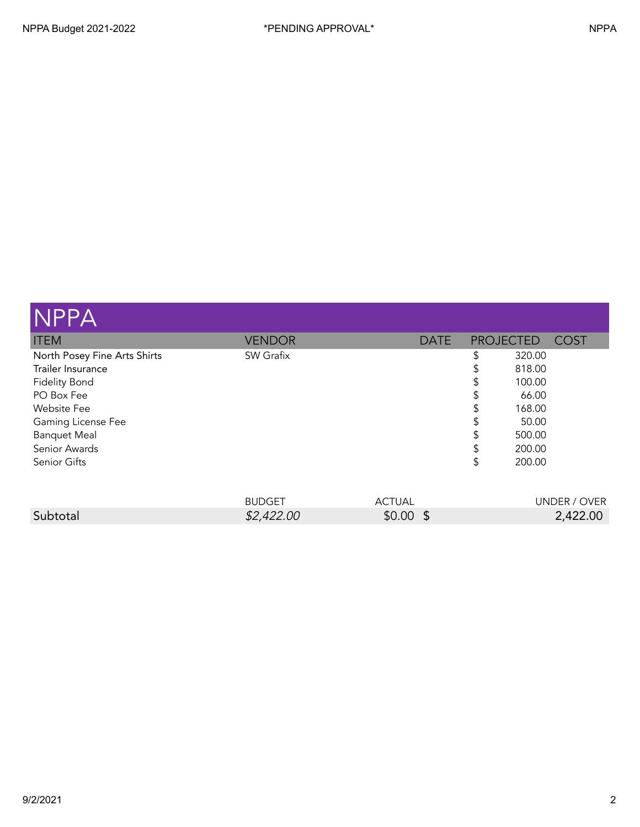| <b>NPPA</b>                  |               |             |                  |        |             |
|------------------------------|---------------|-------------|------------------|--------|-------------|
| <b>ITEM</b>                  | <b>VENDOR</b> | <b>DATE</b> | <b>PROJECTED</b> |        | <b>COST</b> |
| North Posey Fine Arts Shirts | SW Grafix     |             | \$               | 320.00 |             |
| Trailer Insurance            |               |             | \$               | 818.00 |             |
| <b>Fidelity Bond</b>         |               |             | S                | 100.00 |             |
| PO Box Fee                   |               |             | \$               | 66.00  |             |
| <b>Website Fee</b>           |               |             | \$               | 168.00 |             |
| Gaming License Fee           |               |             | \$               | 50.00  |             |
| <b>Banquet Meal</b>          |               |             | \$               | 500.00 |             |
| Senior Awards                |               |             | S                | 200.00 |             |
| Senior Gifts                 |               |             | \$               | 200.00 |             |
|                              |               |             |                  |        |             |

|          | <b>BUDGET</b> | ACTUAL | UNDER / OVER |
|----------|---------------|--------|--------------|
| Subtotal | \$2,422.00    | \$0.00 | 2,422.00     |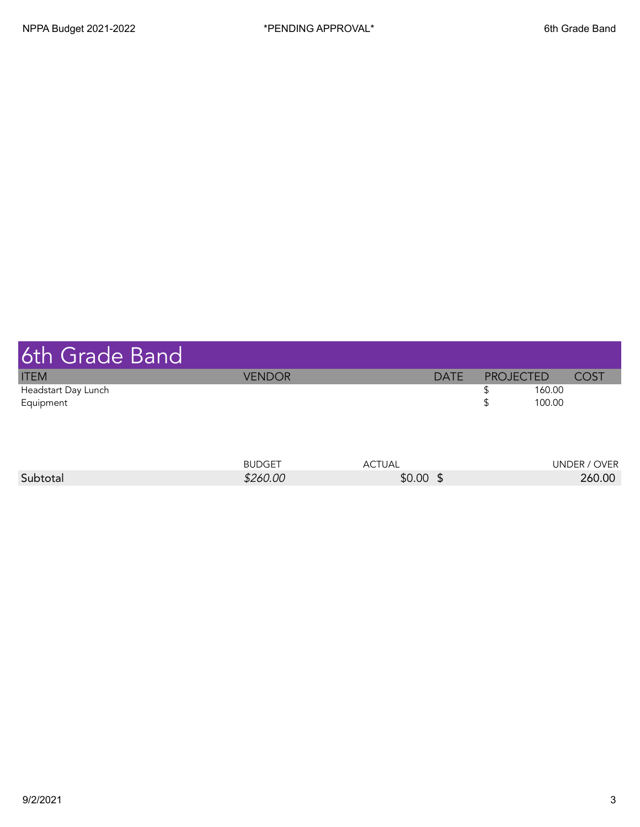| 6th Grade Band                   |               |             |                  |             |
|----------------------------------|---------------|-------------|------------------|-------------|
| <b>ITEM</b>                      | <b>VENDOR</b> | <b>DATE</b> | <b>PROJECTED</b> | <b>COST</b> |
| Headstart Day Lunch<br>Equipment |               |             | 160.00<br>100.00 |             |
|                                  |               |             |                  |             |

|          | <b>BUDGET</b> | TUAL   | UNDER,      |
|----------|---------------|--------|-------------|
|          |               | AU.    | <b>OVER</b> |
| Subtotal | \$260.00      | \$0.00 | 260.00      |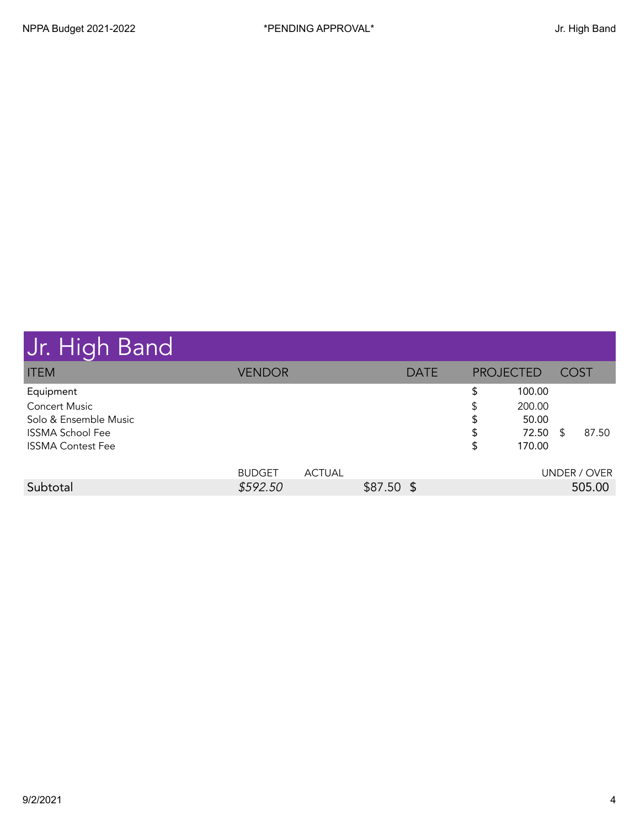|  |  |  | Jr. High Band |
|--|--|--|---------------|
|--|--|--|---------------|

| pi. 111911 Duna          |               |               |             |             |                  |        |             |              |
|--------------------------|---------------|---------------|-------------|-------------|------------------|--------|-------------|--------------|
| <b>ITEM</b>              | <b>VENDOR</b> |               |             | <b>DATE</b> | <b>PROJECTED</b> |        | <b>COST</b> |              |
| Equipment                |               |               |             |             | S                | 100.00 |             |              |
| <b>Concert Music</b>     |               |               |             |             |                  | 200.00 |             |              |
| Solo & Ensemble Music    |               |               |             |             | S                | 50.00  |             |              |
| <b>ISSMA School Fee</b>  |               |               |             |             | S                | 72.50  | -S          | 87.50        |
| <b>ISSMA Contest Fee</b> |               |               |             |             | \$               | 170.00 |             |              |
|                          | <b>BUDGET</b> | <b>ACTUAL</b> |             |             |                  |        |             | UNDER / OVER |
| Subtotal                 | \$592.50      |               | $$87.50$ \$ |             |                  |        |             | 505.00       |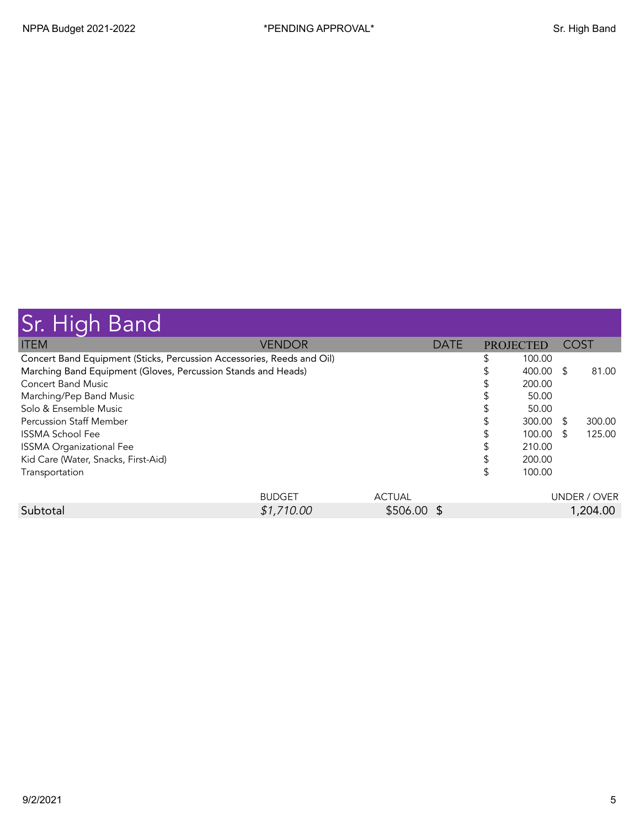| <b>Sr. High Band</b>                                                   |               |               |             |                  |        |             |              |
|------------------------------------------------------------------------|---------------|---------------|-------------|------------------|--------|-------------|--------------|
| <b>ITEM</b>                                                            | <b>VENDOR</b> |               | <b>DATE</b> | <b>PROJECTED</b> |        | <b>COST</b> |              |
| Concert Band Equipment (Sticks, Percussion Accessories, Reeds and Oil) |               |               |             |                  | 100.00 |             |              |
| Marching Band Equipment (Gloves, Percussion Stands and Heads)          |               |               |             |                  | 400.00 | - \$        | 81.00        |
| Concert Band Music                                                     |               |               |             |                  | 200.00 |             |              |
| Marching/Pep Band Music                                                |               |               |             |                  | 50.00  |             |              |
| Solo & Ensemble Music                                                  |               |               |             |                  | 50.00  |             |              |
| <b>Percussion Staff Member</b>                                         |               |               |             |                  | 300.00 | \$.         | 300.00       |
| <b>ISSMA School Fee</b>                                                |               |               |             |                  | 100.00 | £.          | 125.00       |
| <b>ISSMA Organizational Fee</b>                                        |               |               |             |                  | 210.00 |             |              |
| Kid Care (Water, Snacks, First-Aid)                                    |               |               |             |                  | 200.00 |             |              |
| Transportation                                                         |               |               |             | \$               | 100.00 |             |              |
|                                                                        | <b>BUDGET</b> | <b>ACTUAL</b> |             |                  |        |             | UNDER / OVER |
| Subtotal                                                               | \$1,710.00    | \$506.00 \$   |             |                  |        |             | 1,204.00     |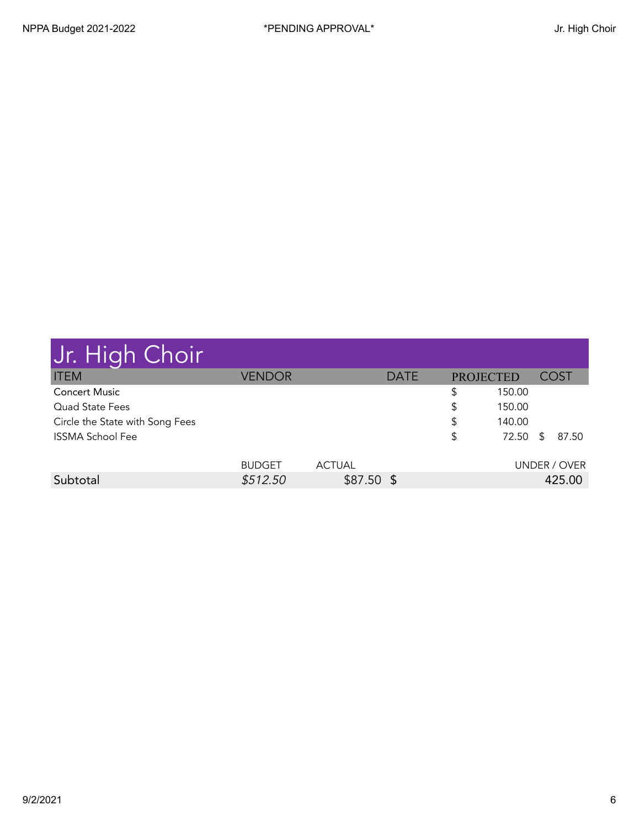| Jr. High Choir                  |               |               |             |                  |        |              |
|---------------------------------|---------------|---------------|-------------|------------------|--------|--------------|
| <b>ITEM</b>                     | <b>VENDOR</b> |               | <b>DATE</b> | <b>PROJECTED</b> |        | COST         |
| <b>Concert Music</b>            |               |               |             | \$               | 150.00 |              |
| Quad State Fees                 |               |               |             | \$               | 150.00 |              |
| Circle the State with Song Fees |               |               |             | \$               | 140.00 |              |
| <b>ISSMA School Fee</b>         |               |               |             | \$               | 72.50  | \$<br>87.50  |
|                                 | <b>BUDGET</b> | <b>ACTUAL</b> |             |                  |        | UNDER / OVER |
| Subtotal                        | \$512.50      | $$87.50$ \$   |             |                  |        | 425.00       |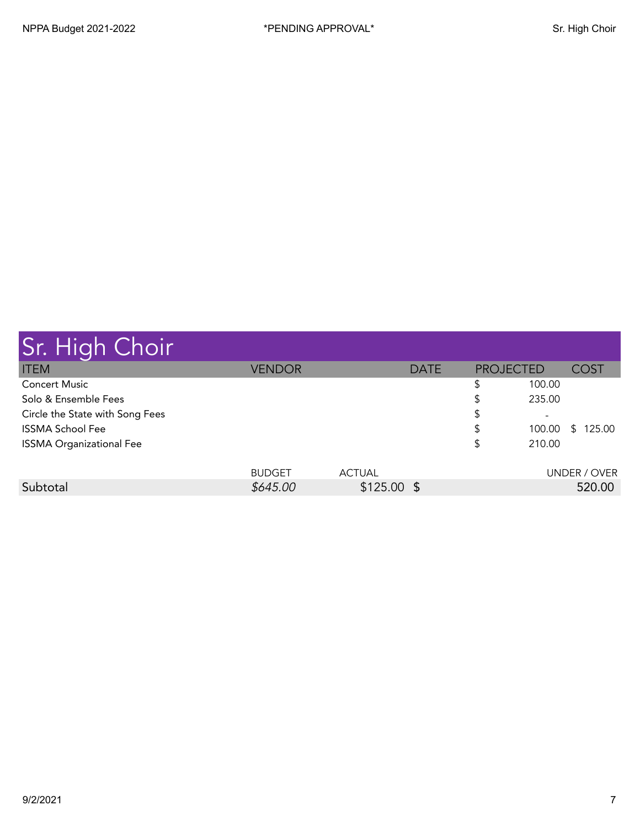| Sr. High Choir                  |               |               |             |                  |                          |              |
|---------------------------------|---------------|---------------|-------------|------------------|--------------------------|--------------|
| <b>ITEM</b>                     | <b>VENDOR</b> |               | <b>DATE</b> | <b>PROJECTED</b> |                          | <b>COST</b>  |
| <b>Concert Music</b>            |               |               |             | \$               | 100.00                   |              |
| Solo & Ensemble Fees            |               |               |             | \$               | 235.00                   |              |
| Circle the State with Song Fees |               |               |             | \$               | $\overline{\phantom{a}}$ |              |
| <b>ISSMA School Fee</b>         |               |               |             | \$               | 100.00                   | 125.00<br>S. |
| <b>ISSMA Organizational Fee</b> |               |               |             | \$               | 210.00                   |              |
|                                 |               |               |             |                  |                          |              |
|                                 | <b>BUDGET</b> | <b>ACTUAL</b> |             |                  |                          | UNDER / OVER |
| Subtotal                        | \$645.00      | $$125.00$ \$  |             |                  |                          | 520.00       |